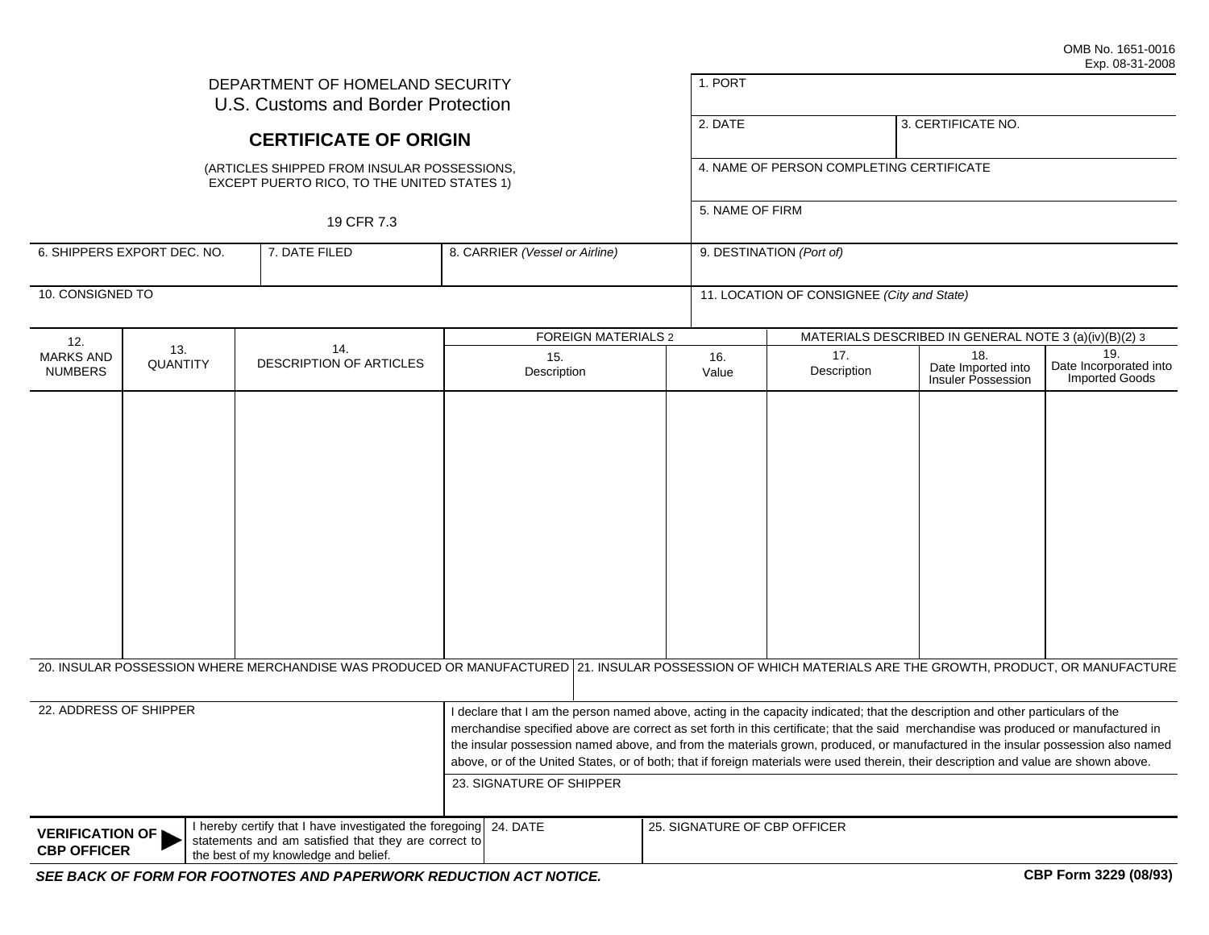| DEPARTMENT OF HOMELAND SECURITY<br>U.S. Customs and Border Protection                                                                                                                                   |                 |                                                                                                                                                         |                                                                                                                                                                                                                                                                                                                                                                                                                                                                                                                                                                               | 1. PORT                  |                                                             |                                                 |                                                 |  |
|---------------------------------------------------------------------------------------------------------------------------------------------------------------------------------------------------------|-----------------|---------------------------------------------------------------------------------------------------------------------------------------------------------|-------------------------------------------------------------------------------------------------------------------------------------------------------------------------------------------------------------------------------------------------------------------------------------------------------------------------------------------------------------------------------------------------------------------------------------------------------------------------------------------------------------------------------------------------------------------------------|--------------------------|-------------------------------------------------------------|-------------------------------------------------|-------------------------------------------------|--|
|                                                                                                                                                                                                         |                 | <b>CERTIFICATE OF ORIGIN</b>                                                                                                                            |                                                                                                                                                                                                                                                                                                                                                                                                                                                                                                                                                                               | 2. DATE                  |                                                             | 3. CERTIFICATE NO.                              |                                                 |  |
| (ARTICLES SHIPPED FROM INSULAR POSSESSIONS,<br>EXCEPT PUERTO RICO, TO THE UNITED STATES 1)<br>19 CFR 7.3                                                                                                |                 |                                                                                                                                                         |                                                                                                                                                                                                                                                                                                                                                                                                                                                                                                                                                                               |                          | 4. NAME OF PERSON COMPLETING CERTIFICATE<br>5. NAME OF FIRM |                                                 |                                                 |  |
|                                                                                                                                                                                                         |                 |                                                                                                                                                         |                                                                                                                                                                                                                                                                                                                                                                                                                                                                                                                                                                               |                          |                                                             |                                                 |                                                 |  |
| 6. SHIPPERS EXPORT DEC. NO.<br>7. DATE FILED                                                                                                                                                            |                 | 8. CARRIER (Vessel or Airline)                                                                                                                          |                                                                                                                                                                                                                                                                                                                                                                                                                                                                                                                                                                               | 9. DESTINATION (Port of) |                                                             |                                                 |                                                 |  |
| 10. CONSIGNED TO                                                                                                                                                                                        |                 |                                                                                                                                                         |                                                                                                                                                                                                                                                                                                                                                                                                                                                                                                                                                                               |                          | 11. LOCATION OF CONSIGNEE (City and State)                  |                                                 |                                                 |  |
| 12.                                                                                                                                                                                                     |                 |                                                                                                                                                         | <b>FOREIGN MATERIALS 2</b>                                                                                                                                                                                                                                                                                                                                                                                                                                                                                                                                                    |                          | MATERIALS DESCRIBED IN GENERAL NOTE 3 (a)(iv)(B)(2) 3       |                                                 |                                                 |  |
| <b>MARKS AND</b><br><b>NUMBERS</b>                                                                                                                                                                      | 13.<br>QUANTITY | 14.<br><b>DESCRIPTION OF ARTICLES</b>                                                                                                                   | 15.<br>Description                                                                                                                                                                                                                                                                                                                                                                                                                                                                                                                                                            | 16.<br>Value             | 17.<br>Description                                          | 18.<br>Date Imported into<br>Insuler Possession | 19.<br>Date Incorporated into<br>Imported Goods |  |
|                                                                                                                                                                                                         |                 |                                                                                                                                                         |                                                                                                                                                                                                                                                                                                                                                                                                                                                                                                                                                                               |                          |                                                             |                                                 |                                                 |  |
|                                                                                                                                                                                                         |                 | 20. INSULAR POSSESSION WHERE MERCHANDISE WAS PRODUCED OR MANUFACTURED 21. INSULAR POSSESSION OF WHICH MATERIALS ARE THE GROWTH, PRODUCT, OR MANUFACTURE |                                                                                                                                                                                                                                                                                                                                                                                                                                                                                                                                                                               |                          |                                                             |                                                 |                                                 |  |
| 22. ADDRESS OF SHIPPER                                                                                                                                                                                  |                 |                                                                                                                                                         | declare that I am the person named above, acting in the capacity indicated; that the description and other particulars of the<br>merchandise specified above are correct as set forth in this certificate; that the said merchandise was produced or manufactured in<br>the insular possession named above, and from the materials grown, produced, or manufactured in the insular possession also named<br>above, or of the United States, or of both; that if foreign materials were used therein, their description and value are shown above.<br>23. SIGNATURE OF SHIPPER |                          |                                                             |                                                 |                                                 |  |
| I hereby certify that I have investigated the foregoing<br><b>VERIFICATION OF</b><br>statements and am satisfied that they are correct to<br><b>CBP OFFICER</b><br>the best of my knowledge and belief. |                 |                                                                                                                                                         | 24. DATE                                                                                                                                                                                                                                                                                                                                                                                                                                                                                                                                                                      |                          | 25. SIGNATURE OF CBP OFFICER                                |                                                 |                                                 |  |
|                                                                                                                                                                                                         |                 | SEE BACK OF FORM FOR FOOTNOTES AND PAPERWORK REDUCTION ACT NOTICE.                                                                                      |                                                                                                                                                                                                                                                                                                                                                                                                                                                                                                                                                                               |                          |                                                             |                                                 | CBP Form 3229 (08/93)                           |  |